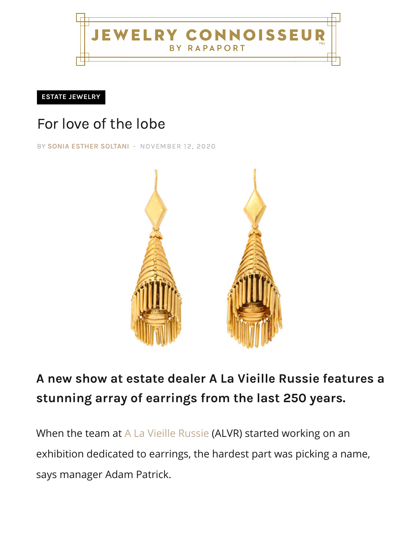NNOISSEUR BY RAPAPORT

**ESTATE JEWELRY**

## For love of the lobe

BY **SONIA ESTHER SOLTANI** [- NOVEMBER 12, 2020](http://jewelryconnoisseur.net/)



## **A new show at estate dealer A La Vieille Russie features a [stunning ar](http://jewelryconnoisseur.net/category/know-how/estate-jewelry/)ray of earrings from the last 250 years.**

When the team at A La Vieille Russie (ALVR) started working on an exhibition dedicated to earrings, the hardest part was picking a name, says manager Adam Patrick.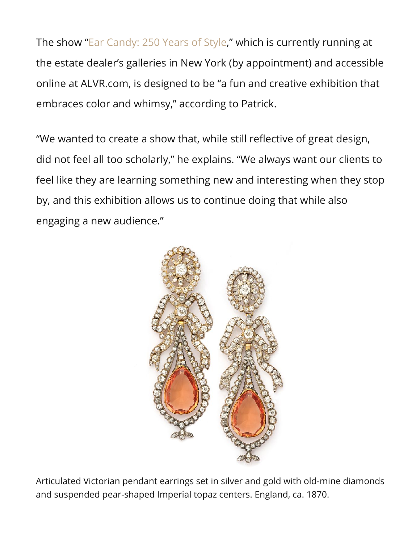The show "[Ear Candy: 250 Years of Style,](https://www.alvr.com/category/earcandy-exhibition/)" which is currently running at [the estate dealer's galleries in New York \(by appointment\) and accessible](http://jewelryconnoisseur.net/wp-content/uploads/2020/11/10_Classical-Revival-15k-Gold-Fringe-Earrings-770x515-1.jpg)  online at ALVR.com, is designed to be "a fun and creative exhibition that embraces color and whimsy," according to Patrick.

"We wanted to create a show that, while still reflective of great design, did not feel all too scholarly," he explains. "We always want our clients to feel like they are learning something new and interesting when they stop by, and this exhibition allows us to continue doing that while also engaging a new audience."



Articulated Victorian pendant earrings set in silver and gold with old-mine diamonds and suspended pear-shaped Imperial topaz centers. England, ca. 1870.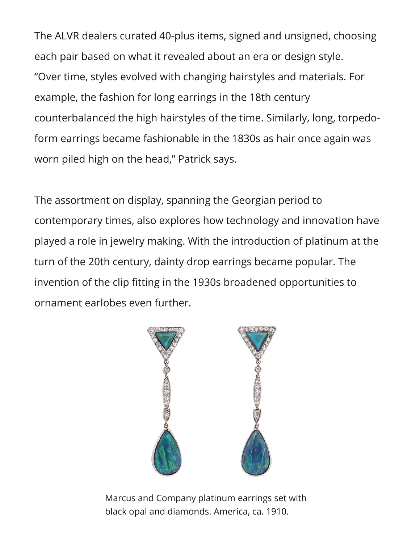The ALVR dealers curated 40-plus items, signed and unsigned, choosing each pair based on what it revealed about an era or design style. "Over time, styles evolved with changing hairstyles and materials. For example, the fashion for long earrings in the 18th century counterbalanced the high hairstyles of the time. Similarly, long, torpedoform earrings became fashionable in the 1830s as hair once again was worn piled high on the head," Patrick says.

The assortment on display, spanning the Georgian period to contemporary times, also explores how technology and innovation have played a role in jewelry making. With the introduction of platinum at the turn of the 20th century, dainty drop earrings became popular. The invention of the clip fitting in the 1930s broadened opportunities to ornament earlobes even further.



Marcus and Company platinum earrings set with black opal and diamonds. America, ca. 1910.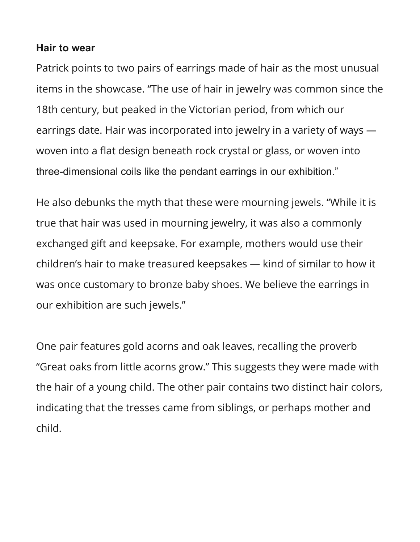## **Hair to wear**

Patrick points to two pairs of earrings made of hair as the most unusual items in the showcase. "The use of hair in jewelry was common since the 18th century, but peaked in the Victorian period, from which our earrings date. Hair was incorporated into jewelry in a variety of ways woven into a flat design beneath rock crystal or glass, or woven into three-dimensional coils like the pendant earrings in our exhibition."

He also debunks the myth that these were mourning jewels. "While it is true that hair was used in mourning jewelry, it was also a commonly exchanged gift and keepsake. For example, mothers would use their children's hair to make treasured keepsakes — kind of similar to how it was once customary to bronze baby shoes. We believe the earrings in our exhibition are such jewels."

One pair features gold acorns and oak leaves, recalling the proverb "Great oaks from little acorns grow." This suggests they were made with the hair of a young child. The other pair contains two distinct hair colors, indicating that the tresses came from siblings, or perhaps mother and child.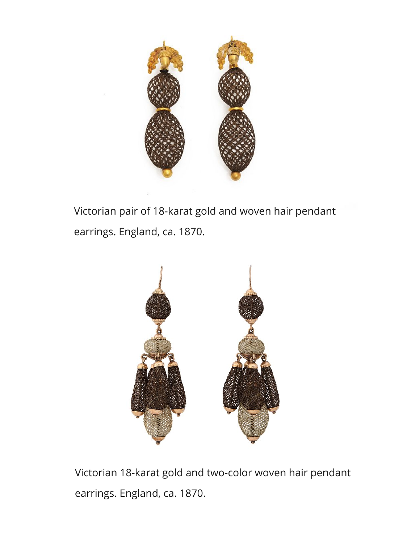

Victorian pair of 18-karat gold and woven hair pendant earrings. England, ca. 1870.



Victorian 18-karat gold and two-color woven hair pendant earrings. England, ca. 1870.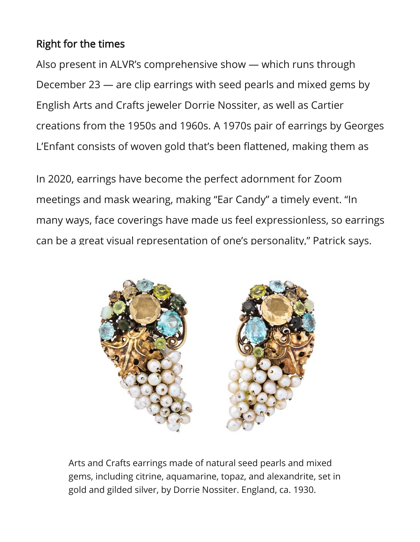## Right for the times

Also present in ALVR's comprehensive show — which runs through December 23 — are clip earrings with seed pearls and mixed gems by English Arts and Crafts jeweler Dorrie Nossiter, as well as Cartier creations from the 1950s and 1960s. A 1970s pair of earrings by Georges L'Enfant consists of woven gold that's been flattened, making them as

In 2020, earrings have become the perfect adornment for Zoom meetings and mask wearing, making "Ear Candy" a timely event. "In many ways, face coverings have made us feel expressionless, so earrings can be a great visual representation of one's personality," Patrick says.



Arts and Crafts earrings made of natural seed pearls and mixed gems, including citrine, aquamarine, topaz, and alexandrite, set in gold and gilded silver, by Dorrie Nossiter. England, ca. 1930.